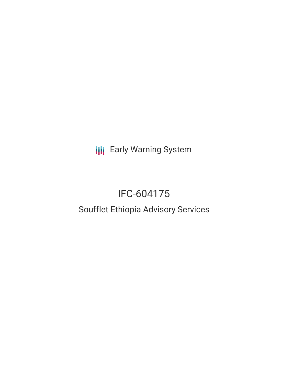**III** Early Warning System

# IFC-604175

## Soufflet Ethiopia Advisory Services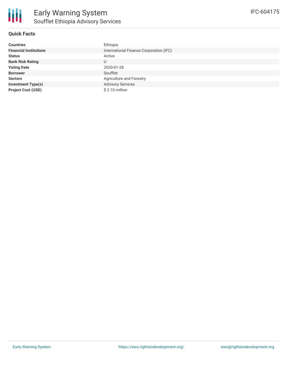

| <b>Countries</b>              | Ethiopia                                |
|-------------------------------|-----------------------------------------|
| <b>Financial Institutions</b> | International Finance Corporation (IFC) |
| <b>Status</b>                 | Active                                  |
| <b>Bank Risk Rating</b>       | U                                       |
| <b>Voting Date</b>            | 2020-01-28                              |
| <b>Borrower</b>               | Soufflet                                |
| <b>Sectors</b>                | Agriculture and Forestry                |
| <b>Investment Type(s)</b>     | <b>Advisory Services</b>                |
| <b>Project Cost (USD)</b>     | \$2.10 million                          |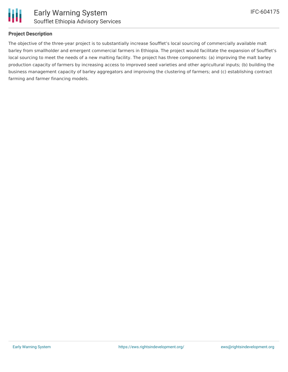

Ш

#### **Project Description**

The objective of the three-year project is to substantially increase Soufflet's local sourcing of commercially available malt barley from smallholder and emergent commercial farmers in Ethiopia. The project would facilitate the expansion of Soufflet's local sourcing to meet the needs of a new malting facility. The project has three components: (a) improving the malt barley production capacity of farmers by increasing access to improved seed varieties and other agricultural inputs; (b) building the business management capacity of barley aggregators and improving the clustering of farmers; and (c) establishing contract farming and farmer financing models.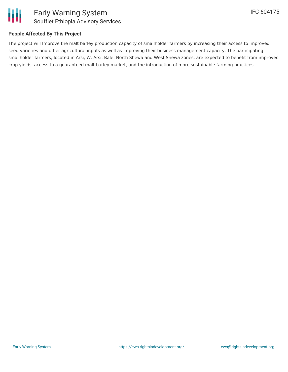

#### **People Affected By This Project**

The project will Improve the malt barley production capacity of smallholder farmers by increasing their access to improved seed varieties and other agricultural inputs as well as improving their business management capacity. The participating smallholder farmers, located in Arsi, W. Arsi, Bale, North Shewa and West Shewa zones, are expected to benefit from improved crop yields, access to a guaranteed malt barley market, and the introduction of more sustainable farming practices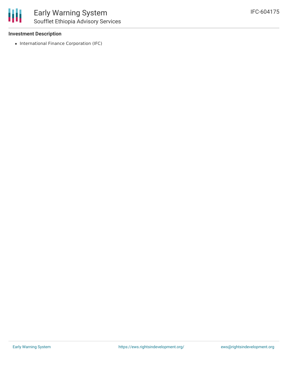

#### **Investment Description**

• International Finance Corporation (IFC)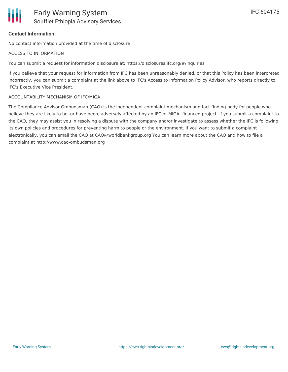## **Contact Information**

No contact information provided at the time of disclosure

#### ACCESS TO INFORMATION

You can submit a request for information disclosure at: https://disclosures.ifc.org/#/inquiries

If you believe that your request for information from IFC has been unreasonably denied, or that this Policy has been interpreted incorrectly, you can submit a complaint at the link above to IFC's Access to Information Policy Advisor, who reports directly to IFC's Executive Vice President.

### ACCOUNTABILITY MECHANISM OF IFC/MIGA

The Compliance Advisor Ombudsman (CAO) is the independent complaint mechanism and fact-finding body for people who believe they are likely to be, or have been, adversely affected by an IFC or MIGA- financed project. If you submit a complaint to the CAO, they may assist you in resolving a dispute with the company and/or investigate to assess whether the IFC is following its own policies and procedures for preventing harm to people or the environment. If you want to submit a complaint electronically, you can email the CAO at CAO@worldbankgroup.org You can learn more about the CAO and how to file a complaint at http://www.cao-ombudsman.org